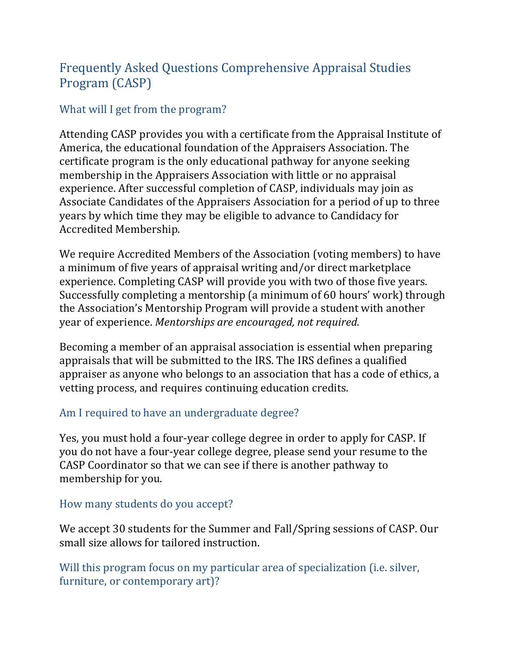# Frequently Asked Questions Comprehensive Appraisal Studies Program (CASP)

# What will I get from the program?

Attending CASP provides you with a certificate from the Appraisal Institute of America, the educational foundation of the Appraisers Association. The certificate program is the only educational pathway for anyone seeking membership in the Appraisers Association with little or no appraisal experience. After successful completion of CASP, individuals may join as Associate Candidates of the Appraisers Association for a period of up to three years by which time they may be eligible to advance to Candidacy for Accredited Membership.

We require Accredited Members of the Association (voting members) to have a minimum of five years of appraisal writing and/or direct marketplace experience. Completing CASP will provide you with two of those five years. Successfully completing a mentorship (a minimum of 60 hours' work) through the Association's Mentorship Program will provide a student with another year of experience. *Mentorships are encouraged, not required.* 

Becoming a member of an appraisal association is essential when preparing appraisals that will be submitted to the IRS. The IRS defines a qualified appraiser as anyone who belongs to an association that has a code of ethics, a vetting process, and requires continuing education credits.

# Am I required to have an undergraduate degree?

Yes, you must hold a four-year college degree in order to apply for CASP. If you do not have a four-year college degree, please send your resume to the CASP Coordinator so that we can see if there is another pathway to membership for you.

# How many students do you accept?

We accept 30 students for the Summer and Fall/Spring sessions of CASP. Our small size allows for tailored instruction.

Will this program focus on my particular area of specialization (i.e. silver, furniture, or contemporary art)?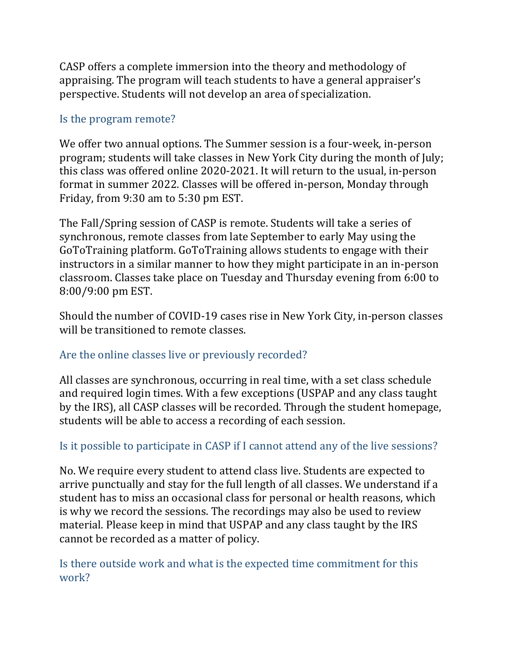CASP offers a complete immersion into the theory and methodology of appraising. The program will teach students to have a general appraiser's perspective. Students will not develop an area of specialization.

#### Is the program remote?

We offer two annual options. The Summer session is a four-week, in-person program; students will take classes in New York City during the month of July; this class was offered online 2020-2021. It will return to the usual, in-person format in summer 2022. Classes will be offered in-person, Monday through Friday, from 9:30 am to 5:30 pm EST.

The Fall/Spring session of CASP is remote. Students will take a series of synchronous, remote classes from late September to early May using the GoToTraining platform. GoToTraining allows students to engage with their instructors in a similar manner to how they might participate in an in-person classroom. Classes take place on Tuesday and Thursday evening from 6:00 to 8:00/9:00 pm EST.

Should the number of COVID-19 cases rise in New York City, in-person classes will be transitioned to remote classes.

## Are the online classes live or previously recorded?

All classes are synchronous, occurring in real time, with a set class schedule and required login times. With a few exceptions (USPAP and any class taught by the IRS), all CASP classes will be recorded. Through the student homepage, students will be able to access a recording of each session.

# Is it possible to participate in CASP if I cannot attend any of the live sessions?

No. We require every student to attend class live. Students are expected to arrive punctually and stay for the full length of all classes. We understand if a student has to miss an occasional class for personal or health reasons, which is why we record the sessions. The recordings may also be used to review material. Please keep in mind that USPAP and any class taught by the IRS cannot be recorded as a matter of policy.

Is there outside work and what is the expected time commitment for this work?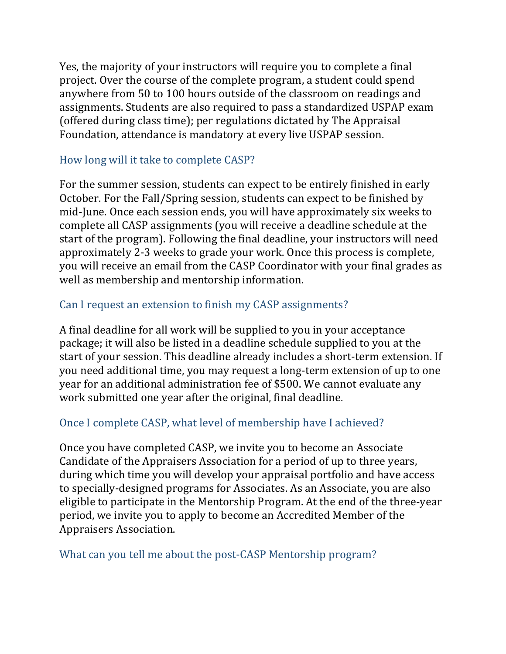Yes, the majority of your instructors will require you to complete a final project. Over the course of the complete program, a student could spend anywhere from 50 to 100 hours outside of the classroom on readings and assignments. Students are also required to pass a standardized USPAP exam (offered during class time); per regulations dictated by The Appraisal Foundation, attendance is mandatory at every live USPAP session.

## How long will it take to complete CASP?

For the summer session, students can expect to be entirely finished in early October. For the Fall/Spring session, students can expect to be finished by mid-June. Once each session ends, you will have approximately six weeks to complete all CASP assignments (you will receive a deadline schedule at the start of the program). Following the final deadline, your instructors will need approximately 2-3 weeks to grade your work. Once this process is complete, you will receive an email from the CASP Coordinator with your final grades as well as membership and mentorship information.

## Can I request an extension to finish my CASP assignments?

A final deadline for all work will be supplied to you in your acceptance package; it will also be listed in a deadline schedule supplied to you at the start of your session. This deadline already includes a short-term extension. If you need additional time, you may request a long-term extension of up to one year for an additional administration fee of \$500. We cannot evaluate any work submitted one year after the original, final deadline.

# Once I complete CASP, what level of membership have I achieved?

Once you have completed CASP, we invite you to become an Associate Candidate of the Appraisers Association for a period of up to three years, during which time you will develop your appraisal portfolio and have access to specially-designed programs for Associates. As an Associate, you are also eligible to participate in the Mentorship Program. At the end of the three-year period, we invite you to apply to become an Accredited Member of the Appraisers Association. 

## What can you tell me about the post-CASP Mentorship program?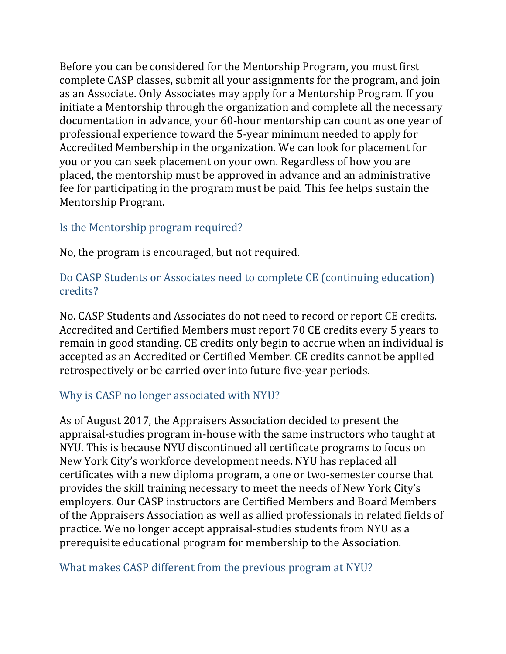Before you can be considered for the Mentorship Program, you must first complete CASP classes, submit all your assignments for the program, and join as an Associate. Only Associates may apply for a Mentorship Program. If you initiate a Mentorship through the organization and complete all the necessary documentation in advance, your 60-hour mentorship can count as one year of professional experience toward the 5-year minimum needed to apply for Accredited Membership in the organization. We can look for placement for you or you can seek placement on your own. Regardless of how you are placed, the mentorship must be approved in advance and an administrative fee for participating in the program must be paid. This fee helps sustain the Mentorship Program.

#### Is the Mentorship program required?

No, the program is encouraged, but not required.

## Do CASP Students or Associates need to complete CE (continuing education) credits?

No. CASP Students and Associates do not need to record or report CE credits. Accredited and Certified Members must report 70 CE credits every 5 years to remain in good standing. CE credits only begin to accrue when an individual is accepted as an Accredited or Certified Member. CE credits cannot be applied retrospectively or be carried over into future five-year periods.

## Why is CASP no longer associated with NYU?

As of August 2017, the Appraisers Association decided to present the appraisal-studies program in-house with the same instructors who taught at NYU. This is because NYU discontinued all certificate programs to focus on New York City's workforce development needs. NYU has replaced all certificates with a new diploma program, a one or two-semester course that provides the skill training necessary to meet the needs of New York City's employers. Our CASP instructors are Certified Members and Board Members of the Appraisers Association as well as allied professionals in related fields of practice. We no longer accept appraisal-studies students from NYU as a prerequisite educational program for membership to the Association.

## What makes CASP different from the previous program at NYU?